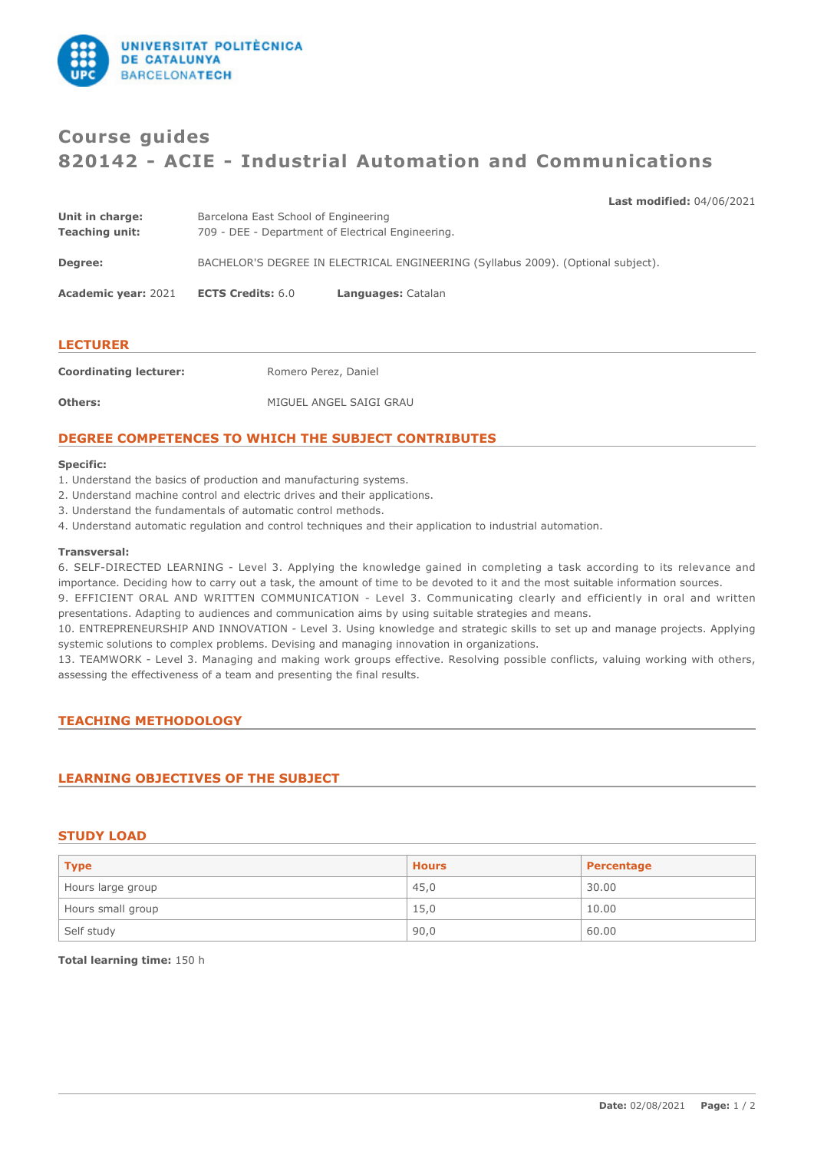

# **Course guides 820142 - ACIE - Industrial Automation and Communications**

## **Last modified:** 04/06/2021

| <b>LECTURER</b>                          |                                                                                           |                    |
|------------------------------------------|-------------------------------------------------------------------------------------------|--------------------|
| <b>Academic year: 2021</b>               | <b>ECTS Credits: 6.0</b>                                                                  | Languages: Catalan |
| Degree:                                  | BACHELOR'S DEGREE IN ELECTRICAL ENGINEERING (Syllabus 2009). (Optional subject).          |                    |
| Unit in charge:<br><b>Teaching unit:</b> | Barcelona East School of Engineering<br>709 - DEE - Department of Electrical Engineering. |                    |

**Coordinating lecturer:** Romero Perez, Daniel **Others:** MIGUEL ANGEL SAIGI GRAU

# **DEGREE COMPETENCES TO WHICH THE SUBJECT CONTRIBUTES**

#### **Specific:**

- 1. Understand the basics of production and manufacturing systems.
- 2. Understand machine control and electric drives and their applications.
- 3. Understand the fundamentals of automatic control methods.
- 4. Understand automatic regulation and control techniques and their application to industrial automation.

#### **Transversal:**

6. SELF-DIRECTED LEARNING - Level 3. Applying the knowledge gained in completing a task according to its relevance and importance. Deciding how to carry out a task, the amount of time to be devoted to it and the most suitable information sources.

9. EFFICIENT ORAL AND WRITTEN COMMUNICATION - Level 3. Communicating clearly and efficiently in oral and written presentations. Adapting to audiences and communication aims by using suitable strategies and means.

10. ENTREPRENEURSHIP AND INNOVATION - Level 3. Using knowledge and strategic skills to set up and manage projects. Applying systemic solutions to complex problems. Devising and managing innovation in organizations.

13. TEAMWORK - Level 3. Managing and making work groups effective. Resolving possible conflicts, valuing working with others, assessing the effectiveness of a team and presenting the final results.

## **TEACHING METHODOLOGY**

## **LEARNING OBJECTIVES OF THE SUBJECT**

## **STUDY LOAD**

| <b>Type</b>       | <b>Hours</b> | Percentage |
|-------------------|--------------|------------|
| Hours large group | 45,0         | 30.00      |
| Hours small group | 15,0         | 10.00      |
| Self study        | 90,0         | 60.00      |

**Total learning time:** 150 h